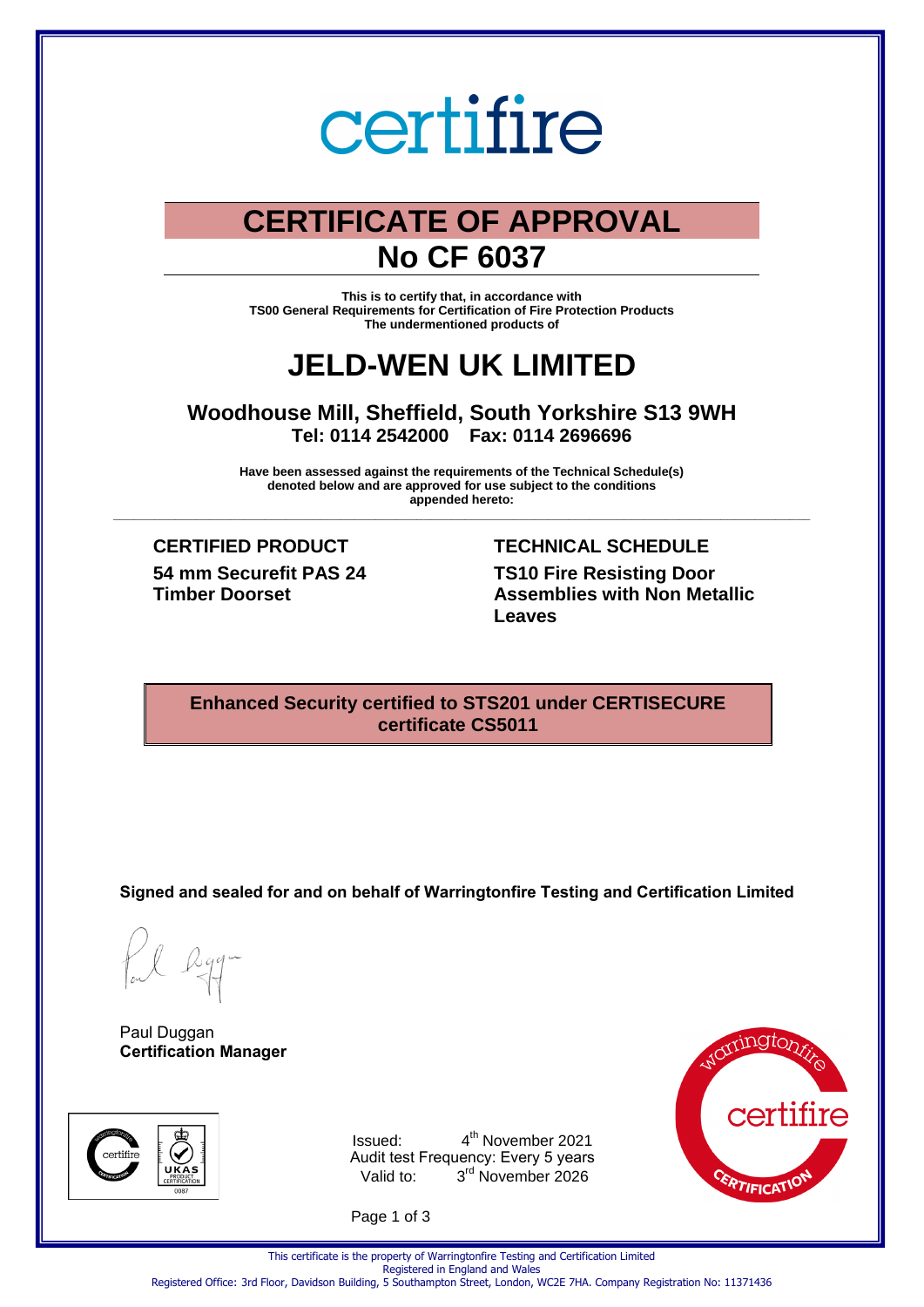# certifire

# **CERTIFICATE OF APPROVAL No CF 6037**

**This is to certify that, in accordance with TS00 General Requirements for Certification of Fire Protection Products The undermentioned products of** 

# **JELD-WEN UK LIMITED**

**Woodhouse Mill, Sheffield, South Yorkshire S13 9WH Tel: 0114 2542000 Fax: 0114 2696696** 

**Have been assessed against the requirements of the Technical Schedule(s) denoted below and are approved for use subject to the conditions appended hereto: \_\_\_\_\_\_\_\_\_\_\_\_\_\_\_\_\_\_\_\_\_\_\_\_\_\_\_\_\_\_\_\_\_\_\_\_\_\_\_\_\_\_\_\_\_\_\_\_\_\_\_\_\_\_\_\_\_\_\_\_\_\_\_\_\_\_\_\_\_\_\_\_\_\_\_\_\_\_\_\_\_\_\_\_\_\_\_\_\_\_\_\_\_\_\_\_\_\_\_\_\_**

**54 mm Securefit PAS 24 Timber Doorset** 

**CERTIFIED PRODUCT TECHNICAL SCHEDULE TS10 Fire Resisting Door Assemblies with Non Metallic Leaves**

# **Enhanced Security certified to STS201 under CERTISECURE certificate CS5011**

**Signed and sealed for and on behalf of Warringtonfire Testing and Certification Limited**

Paul Duggan **Certification Manager**



Issued: 4 4<sup>th</sup> November 2021 Audit test Frequency: Every 5 years Valid to: 3<sup>rd</sup> November 2026

Page 1 of 3



This certificate is the property of Warringtonfire Testing and Certification Limited Registered in England and Wales

Registered Office: 3rd Floor, Davidson Building, 5 Southampton Street, London, WC2E 7HA. Company Registration No: 11371436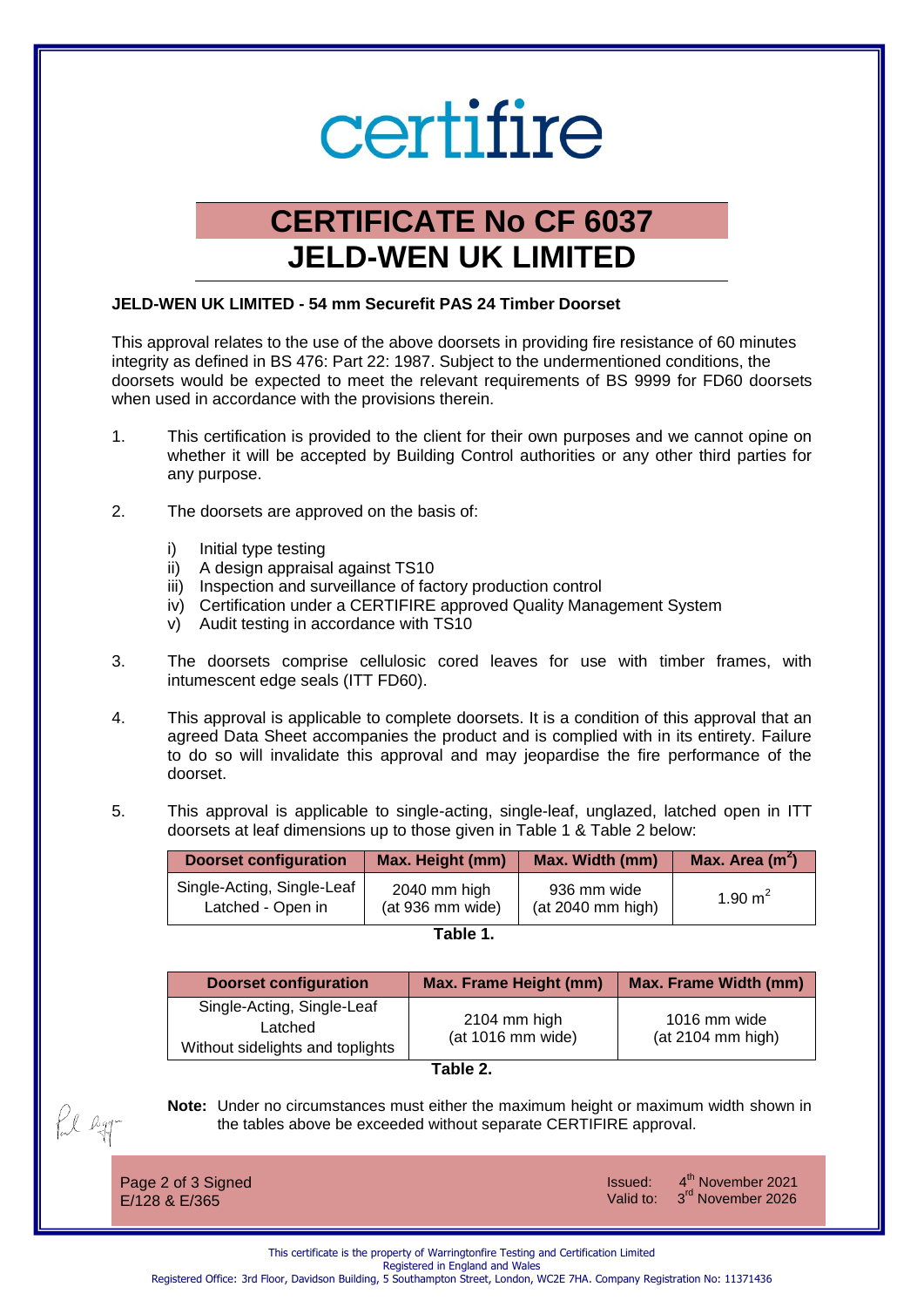# certifire

# **CERTIFICATE No CF 6037 JELD-WEN UK LIMITED**

# **JELD-WEN UK LIMITED - 54 mm Securefit PAS 24 Timber Doorset**

This approval relates to the use of the above doorsets in providing fire resistance of 60 minutes integrity as defined in BS 476: Part 22: 1987. Subject to the undermentioned conditions, the doorsets would be expected to meet the relevant requirements of BS 9999 for FD60 doorsets when used in accordance with the provisions therein.

- 1. This certification is provided to the client for their own purposes and we cannot opine on whether it will be accepted by Building Control authorities or any other third parties for any purpose.
- 2. The doorsets are approved on the basis of:
	- i) Initial type testing
	- ii) A design appraisal against TS10
	- iii) Inspection and surveillance of factory production control
	- iv) Certification under a CERTIFIRE approved Quality Management System
	- v) Audit testing in accordance with TS10
- 3. The doorsets comprise cellulosic cored leaves for use with timber frames, with intumescent edge seals (ITT FD60).
- 4. This approval is applicable to complete doorsets. It is a condition of this approval that an agreed Data Sheet accompanies the product and is complied with in its entirety. Failure to do so will invalidate this approval and may jeopardise the fire performance of the doorset.
- 5. This approval is applicable to single-acting, single-leaf, unglazed, latched open in ITT doorsets at leaf dimensions up to those given in Table 1 & Table 2 below:

| <b>Doorset configuration</b> | Max. Height (mm) | Max. Width (mm)   | Max. Area $(m2)$ |
|------------------------------|------------------|-------------------|------------------|
| Single-Acting, Single-Leaf   | 2040 mm high     | 936 mm wide       | 1.90 $m2$        |
| Latched - Open in            | (at 936 mm wide) | (at 2040 mm high) |                  |



| <b>Doorset configuration</b>                                              | <b>Max. Frame Height (mm)</b>       | <b>Max. Frame Width (mm)</b>      |
|---------------------------------------------------------------------------|-------------------------------------|-----------------------------------|
| Single-Acting, Single-Leaf<br>Latched<br>Without sidelights and toplights | $2104$ mm high<br>(at 1016 mm wide) | 1016 mm wide<br>(at 2104 mm high) |

# **Table 2.**

**Note:** Under no circumstances must either the maximum height or maximum width shown in the tables above be exceeded without separate CERTIFIRE approval.

Page 2 of 3 Signed E/128 & E/365

fl egr

Issued: 4 Valid to:

4<sup>th</sup> November 2021 3<sup>rd</sup> November 2026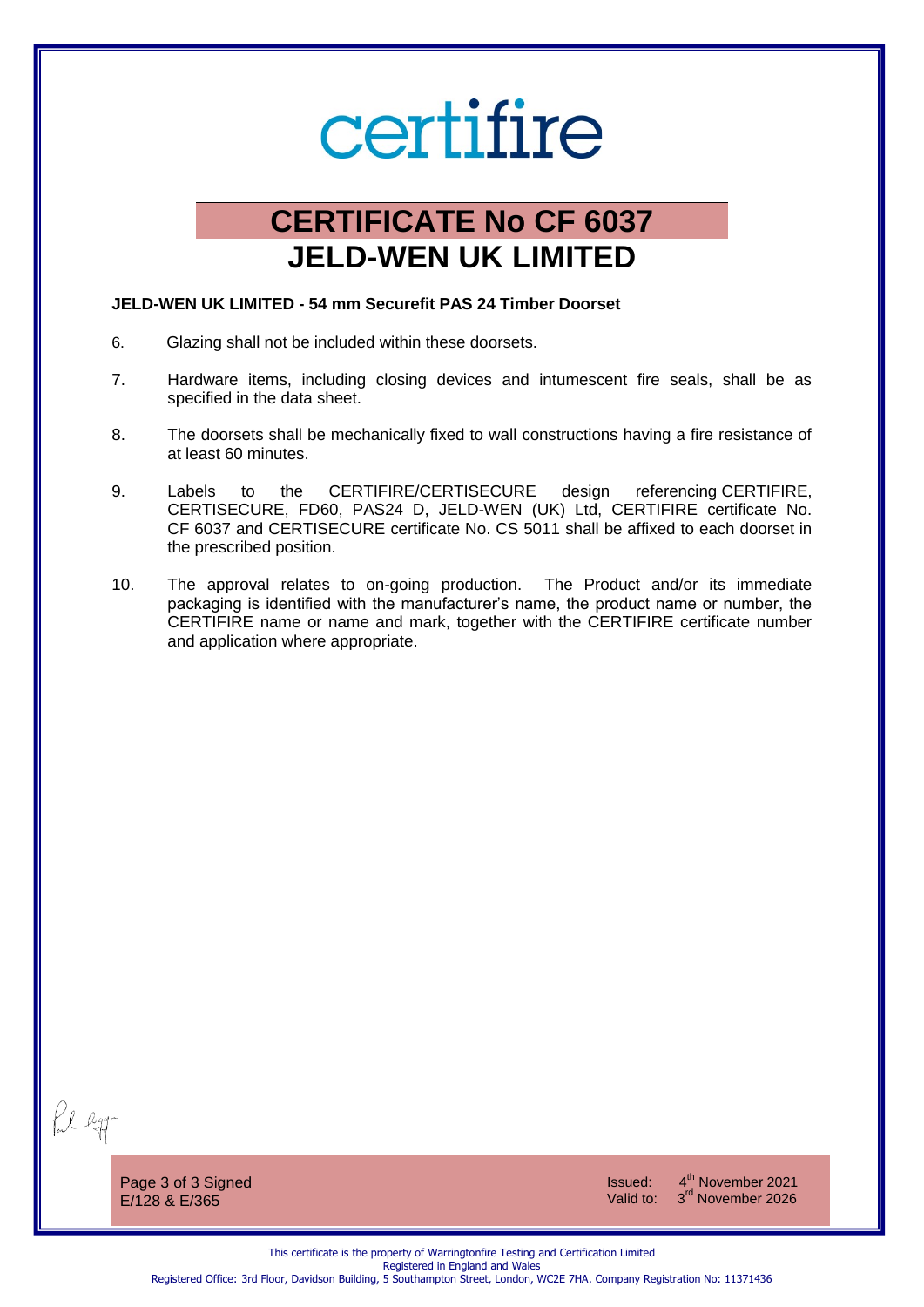# certifire

# **CERTIFICATE No CF 6037 JELD-WEN UK LIMITED**

# **JELD-WEN UK LIMITED - 54 mm Securefit PAS 24 Timber Doorset**

- 6. Glazing shall not be included within these doorsets.
- 7. Hardware items, including closing devices and intumescent fire seals, shall be as specified in the data sheet.
- 8. The doorsets shall be mechanically fixed to wall constructions having a fire resistance of at least 60 minutes.
- 9. Labels to the CERTIFIRE/CERTISECURE design referencing CERTIFIRE, CERTISECURE, FD60, PAS24 D, JELD-WEN (UK) Ltd, CERTIFIRE certificate No. CF 6037 and CERTISECURE certificate No. CS 5011 shall be affixed to each doorset in the prescribed position.
- 10. The approval relates to on-going production. The Product and/or its immediate packaging is identified with the manufacturer's name, the product name or number, the CERTIFIRE name or name and mark, together with the CERTIFIRE certificate number and application where appropriate.

fil egg-

Page 3 of 3 Signed E/128 & E/365

Issued: 4 4<sup>th</sup> November 2021 Valid to: 3<sup>rd</sup> November 2026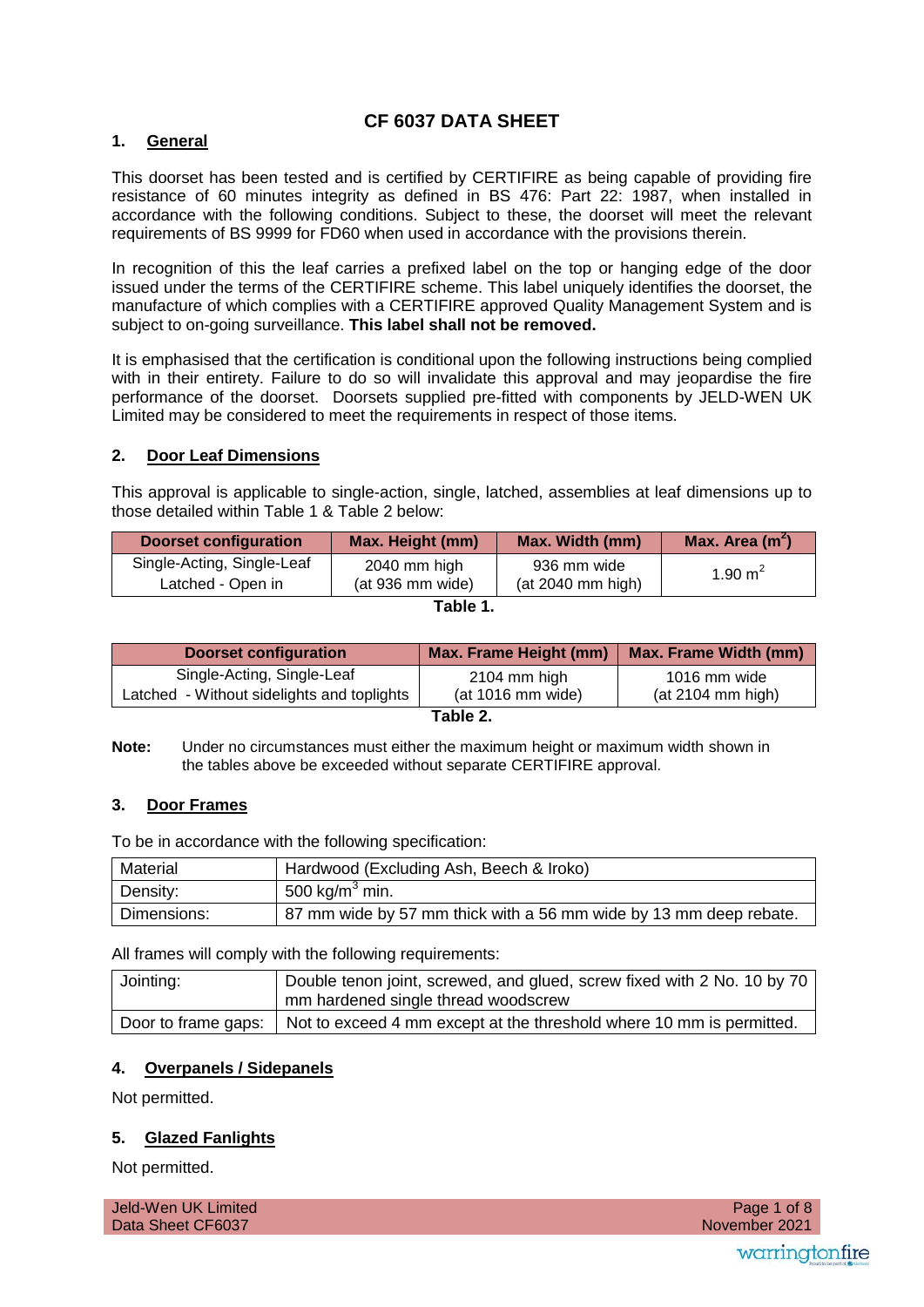# **CF 6037 DATA SHEET**

# **1. General**

This doorset has been tested and is certified by CERTIFIRE as being capable of providing fire resistance of 60 minutes integrity as defined in BS 476: Part 22: 1987, when installed in accordance with the following conditions. Subject to these, the doorset will meet the relevant requirements of BS 9999 for FD60 when used in accordance with the provisions therein.

In recognition of this the leaf carries a prefixed label on the top or hanging edge of the door issued under the terms of the CERTIFIRE scheme. This label uniquely identifies the doorset, the manufacture of which complies with a CERTIFIRE approved Quality Management System and is subject to on-going surveillance. **This label shall not be removed.**

It is emphasised that the certification is conditional upon the following instructions being complied with in their entirety. Failure to do so will invalidate this approval and may jeopardise the fire performance of the doorset. Doorsets supplied pre-fitted with components by JELD-WEN UK Limited may be considered to meet the requirements in respect of those items.

# **2. Door Leaf Dimensions**

This approval is applicable to single-action, single, latched, assemblies at leaf dimensions up to those detailed within Table 1 & Table 2 below:

| <b>Doorset configuration</b> | Max. Height (mm) | Max. Width (mm)   | Max. Area $(m2)$ |
|------------------------------|------------------|-------------------|------------------|
| Single-Acting, Single-Leaf   | 2040 mm high     | 936 mm wide       | 1.90 $m^2$       |
| Latched - Open in            | (at 936 mm wide) | (at 2040 mm high) |                  |

| <b>Doorset configuration</b>               | Max. Frame Height (mm) | <b>Max. Frame Width (mm)</b> |
|--------------------------------------------|------------------------|------------------------------|
| Single-Acting, Single-Leaf                 | 2104 mm high           | 1016 mm wide                 |
| Latched - Without sidelights and toplights | (at 1016 mm wide)      | (at 2104 mm high)            |
| <b>THE</b>                                 |                        |                              |

| ⊿b'<br>ı | - |
|----------|---|
|----------|---|

**Note:** Under no circumstances must either the maximum height or maximum width shown in the tables above be exceeded without separate CERTIFIRE approval.

# **3. Door Frames**

To be in accordance with the following specification:

| Material    | Hardwood (Excluding Ash, Beech & Iroko)                           |  |
|-------------|-------------------------------------------------------------------|--|
| Density:    | 500 kg/m <sup>3</sup> min.                                        |  |
| Dimensions: | 87 mm wide by 57 mm thick with a 56 mm wide by 13 mm deep rebate. |  |

All frames will comply with the following requirements:

| Jointing: | Double tenon joint, screwed, and glued, screw fixed with 2 No. 10 by 70<br>mm hardened single thread woodscrew |
|-----------|----------------------------------------------------------------------------------------------------------------|
|           | Door to frame gaps:   Not to exceed 4 mm except at the threshold where 10 mm is permitted.                     |

# **4. Overpanels / Sidepanels**

Not permitted.

# **5. Glazed Fanlights**

Not permitted.

| Jeld-Wen UK Limited | Page 1 of 8   |
|---------------------|---------------|
| Data Sheet CF6037   | November 2021 |
|                     |               |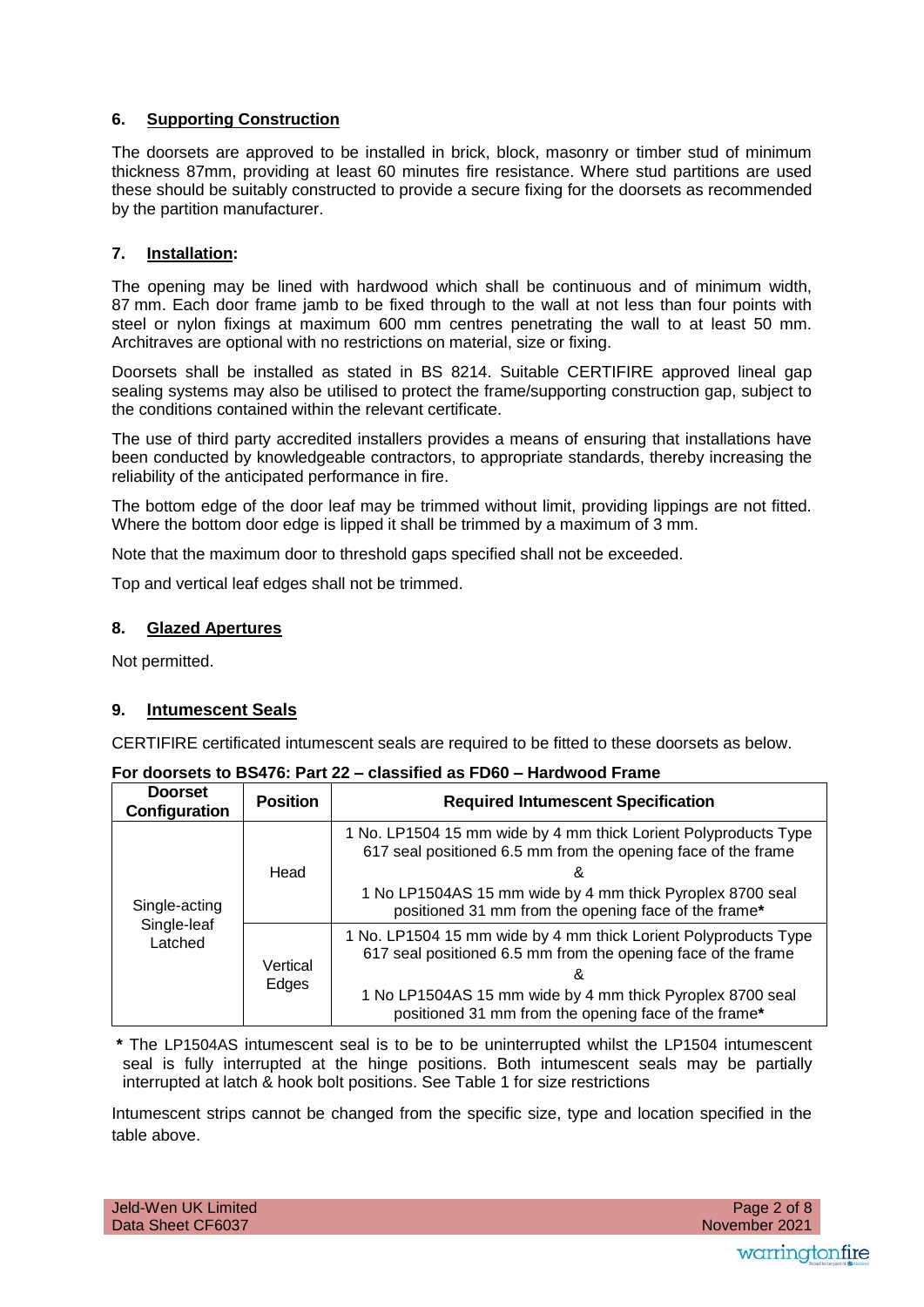# **6. Supporting Construction**

The doorsets are approved to be installed in brick, block, masonry or timber stud of minimum thickness 87mm, providing at least 60 minutes fire resistance. Where stud partitions are used these should be suitably constructed to provide a secure fixing for the doorsets as recommended by the partition manufacturer.

# **7. Installation:**

The opening may be lined with hardwood which shall be continuous and of minimum width, 87 mm. Each door frame jamb to be fixed through to the wall at not less than four points with steel or nylon fixings at maximum 600 mm centres penetrating the wall to at least 50 mm. Architraves are optional with no restrictions on material, size or fixing.

Doorsets shall be installed as stated in BS 8214. Suitable CERTIFIRE approved lineal gap sealing systems may also be utilised to protect the frame/supporting construction gap, subject to the conditions contained within the relevant certificate.

The use of third party accredited installers provides a means of ensuring that installations have been conducted by knowledgeable contractors, to appropriate standards, thereby increasing the reliability of the anticipated performance in fire.

The bottom edge of the door leaf may be trimmed without limit, providing lippings are not fitted. Where the bottom door edge is lipped it shall be trimmed by a maximum of 3 mm.

Note that the maximum door to threshold gaps specified shall not be exceeded.

Top and vertical leaf edges shall not be trimmed.

#### **8. Glazed Apertures**

Not permitted.

# **9. Intumescent Seals**

CERTIFIRE certificated intumescent seals are required to be fitted to these doorsets as below.

| <b>Doorset</b><br>Configuration | <b>Position</b>                  | <b>Required Intumescent Specification</b>                                                                                        |  |
|---------------------------------|----------------------------------|----------------------------------------------------------------------------------------------------------------------------------|--|
|                                 | Head                             | 1 No. LP1504 15 mm wide by 4 mm thick Lorient Polyproducts Type<br>617 seal positioned 6.5 mm from the opening face of the frame |  |
| Single-acting                   |                                  | 1 No LP1504AS 15 mm wide by 4 mm thick Pyroplex 8700 seal<br>positioned 31 mm from the opening face of the frame*                |  |
| Latched                         | Single-leaf<br>Vertical<br>Edges | 1 No. LP1504 15 mm wide by 4 mm thick Lorient Polyproducts Type<br>617 seal positioned 6.5 mm from the opening face of the frame |  |
|                                 |                                  | 1 No LP1504AS 15 mm wide by 4 mm thick Pyroplex 8700 seal<br>positioned 31 mm from the opening face of the frame*                |  |

#### **For doorsets to BS476: Part 22 – classified as FD60 – Hardwood Frame**

**\*** The LP1504AS intumescent seal is to be to be uninterrupted whilst the LP1504 intumescent seal is fully interrupted at the hinge positions. Both intumescent seals may be partially interrupted at latch & hook bolt positions. See Table 1 for size restrictions

Intumescent strips cannot be changed from the specific size, type and location specified in the table above.

| Jeld-Wen UK Limited |  |
|---------------------|--|
| Data Sheet CF6037   |  |

 November 2021 Page 2 of 8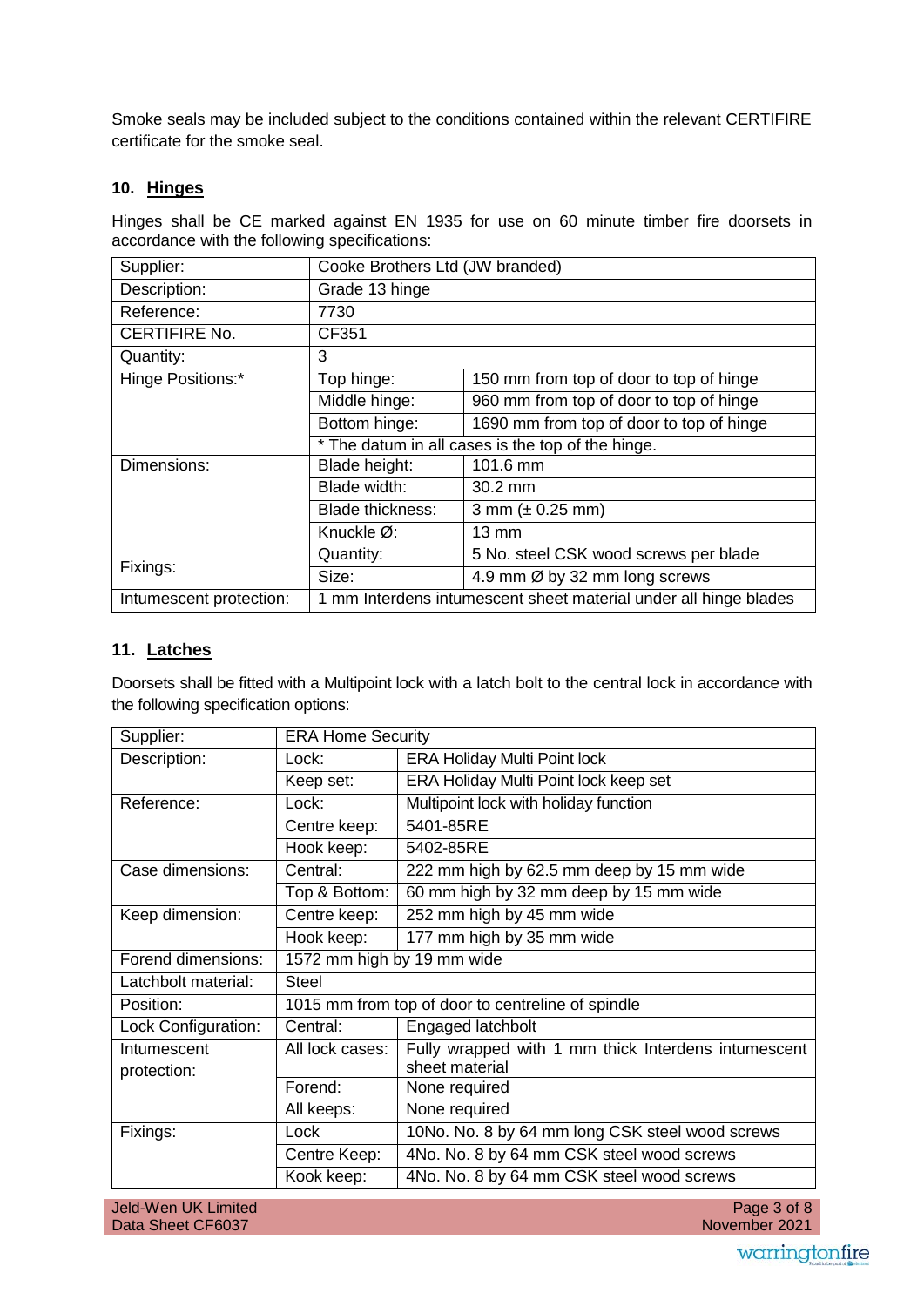Smoke seals may be included subject to the conditions contained within the relevant CERTIFIRE certificate for the smoke seal.

# **10. Hinges**

Hinges shall be CE marked against EN 1935 for use on 60 minute timber fire doorsets in accordance with the following specifications:

| Supplier:               | Cooke Brothers Ltd (JW branded)                                  |                                          |  |
|-------------------------|------------------------------------------------------------------|------------------------------------------|--|
| Description:            | Grade 13 hinge                                                   |                                          |  |
| Reference:              | 7730                                                             |                                          |  |
| <b>CERTIFIRE No.</b>    | CF351                                                            |                                          |  |
| Quantity:               | 3                                                                |                                          |  |
| Hinge Positions:*       | Top hinge:                                                       | 150 mm from top of door to top of hinge  |  |
|                         | Middle hinge:                                                    | 960 mm from top of door to top of hinge  |  |
|                         | Bottom hinge:                                                    | 1690 mm from top of door to top of hinge |  |
|                         | * The datum in all cases is the top of the hinge.                |                                          |  |
| Dimensions:             | Blade height:                                                    | 101.6 mm                                 |  |
|                         | Blade width:                                                     | 30.2 mm                                  |  |
|                         | <b>Blade thickness:</b>                                          | 3 mm $(\pm 0.25$ mm)                     |  |
|                         | Knuckle Ø:                                                       | 13 mm                                    |  |
|                         | Quantity:                                                        | 5 No. steel CSK wood screws per blade    |  |
| Fixings:                | Size:                                                            | 4.9 mm Ø by 32 mm long screws            |  |
| Intumescent protection: | 1 mm Interdens intumescent sheet material under all hinge blades |                                          |  |

# **11. Latches**

Doorsets shall be fitted with a Multipoint lock with a latch bolt to the central lock in accordance with the following specification options:

| Supplier:                  | <b>ERA Home Security</b>                          |                                                                       |
|----------------------------|---------------------------------------------------|-----------------------------------------------------------------------|
| Description:               | Lock:                                             | <b>ERA Holiday Multi Point lock</b>                                   |
|                            | Keep set:                                         | ERA Holiday Multi Point lock keep set                                 |
| Reference:                 | Lock:                                             | Multipoint lock with holiday function                                 |
|                            | Centre keep:                                      | 5401-85RE                                                             |
|                            | Hook keep:                                        | 5402-85RE                                                             |
| Case dimensions:           | Central:                                          | 222 mm high by 62.5 mm deep by 15 mm wide                             |
|                            | Top & Bottom:                                     | 60 mm high by 32 mm deep by 15 mm wide                                |
| Keep dimension:            | Centre keep:                                      | 252 mm high by 45 mm wide                                             |
|                            | Hook keep:                                        | 177 mm high by 35 mm wide                                             |
| Forend dimensions:         | 1572 mm high by 19 mm wide                        |                                                                       |
| Latchbolt material:        | <b>Steel</b>                                      |                                                                       |
| Position:                  | 1015 mm from top of door to centreline of spindle |                                                                       |
| Lock Configuration:        | Central:                                          | Engaged latchbolt                                                     |
| Intumescent<br>protection: | All lock cases:                                   | Fully wrapped with 1 mm thick Interdens intumescent<br>sheet material |
|                            | Forend:                                           | None required                                                         |
|                            | All keeps:                                        | None required                                                         |
| Fixings:                   | Lock                                              | 10No. No. 8 by 64 mm long CSK steel wood screws                       |
|                            | Centre Keep:                                      | 4No. No. 8 by 64 mm CSK steel wood screws                             |
|                            | Kook keep:                                        | 4No. No. 8 by 64 mm CSK steel wood screws                             |
|                            |                                                   |                                                                       |

 November 2021 Page 3 of 8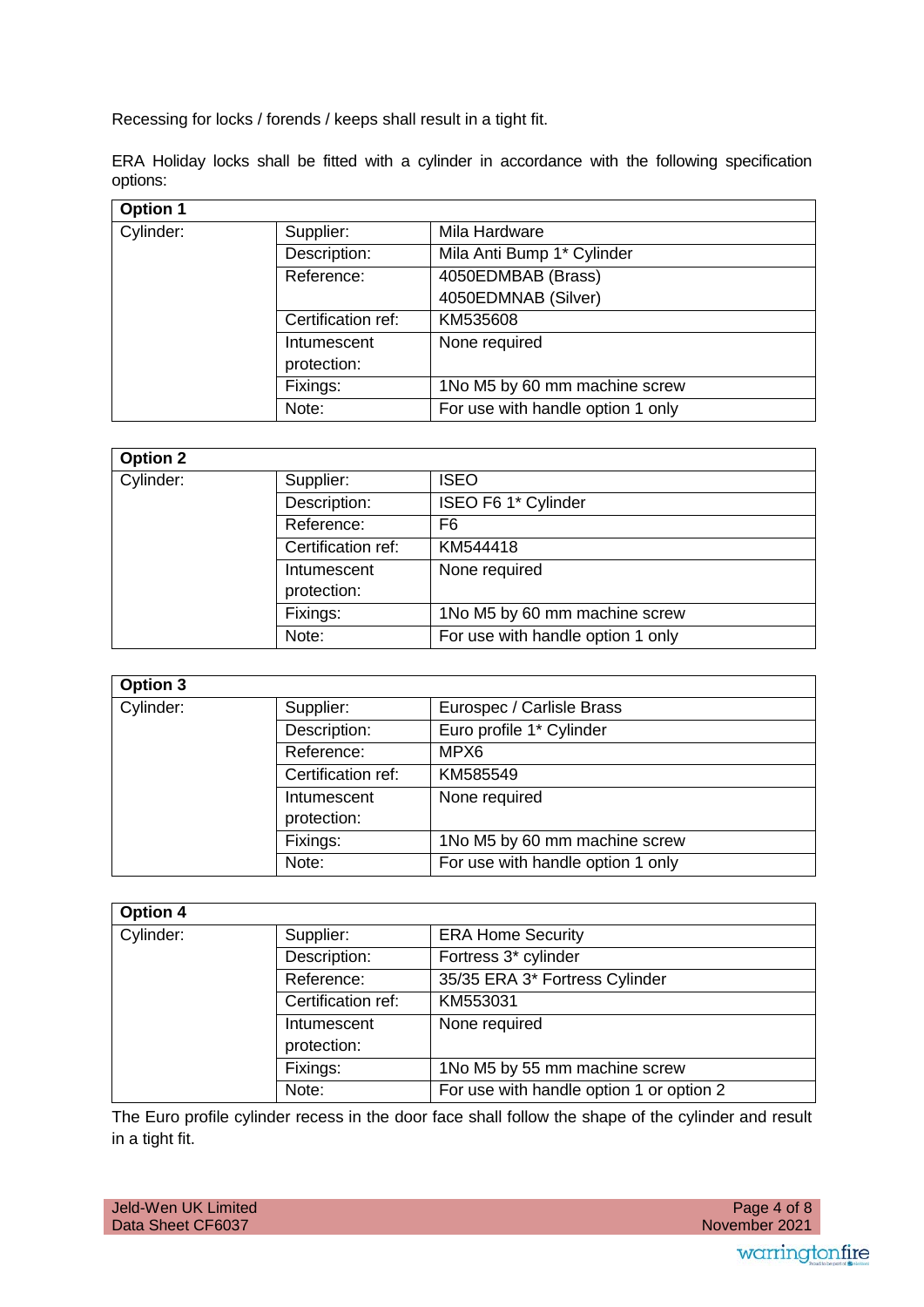Recessing for locks / forends / keeps shall result in a tight fit.

ERA Holiday locks shall be fitted with a cylinder in accordance with the following specification options:

| <b>Option 1</b> |                    |                                   |
|-----------------|--------------------|-----------------------------------|
| Cylinder:       | Supplier:          | Mila Hardware                     |
|                 | Description:       | Mila Anti Bump 1* Cylinder        |
|                 | Reference:         | 4050EDMBAB (Brass)                |
|                 |                    | 4050EDMNAB (Silver)               |
|                 | Certification ref: | KM535608                          |
|                 | Intumescent        | None required                     |
|                 | protection:        |                                   |
|                 | Fixings:           | 1No M5 by 60 mm machine screw     |
|                 | Note:              | For use with handle option 1 only |

# **Option 2**

| Supplier:          | <b>ISEO</b>                       |
|--------------------|-----------------------------------|
| Description:       | ISEO F6 1* Cylinder               |
| Reference:         | F6                                |
| Certification ref: | KM544418                          |
| Intumescent        | None required                     |
| protection:        |                                   |
| Fixings:           | 1No M5 by 60 mm machine screw     |
| Note:              | For use with handle option 1 only |
|                    |                                   |

| Option 3  |                    |                                   |
|-----------|--------------------|-----------------------------------|
| Cylinder: | Supplier:          | Eurospec / Carlisle Brass         |
|           | Description:       | Euro profile 1* Cylinder          |
|           | Reference:         | MPX6                              |
|           | Certification ref: | KM585549                          |
|           | Intumescent        | None required                     |
|           | protection:        |                                   |
|           | Fixings:           | 1No M5 by 60 mm machine screw     |
|           | Note:              | For use with handle option 1 only |

| <b>Option 4</b> |                    |                                          |
|-----------------|--------------------|------------------------------------------|
| Cylinder:       | Supplier:          | <b>ERA Home Security</b>                 |
|                 | Description:       | Fortress 3* cylinder                     |
|                 | Reference:         | 35/35 ERA 3* Fortress Cylinder           |
|                 | Certification ref: | KM553031                                 |
|                 | Intumescent        | None required                            |
|                 | protection:        |                                          |
|                 | Fixings:           | 1No M5 by 55 mm machine screw            |
|                 | Note:              | For use with handle option 1 or option 2 |

The Euro profile cylinder recess in the door face shall follow the shape of the cylinder and result in a tight fit.

| Jeld-Wen UK Limited |
|---------------------|
| Data Sheet CF6037   |

٦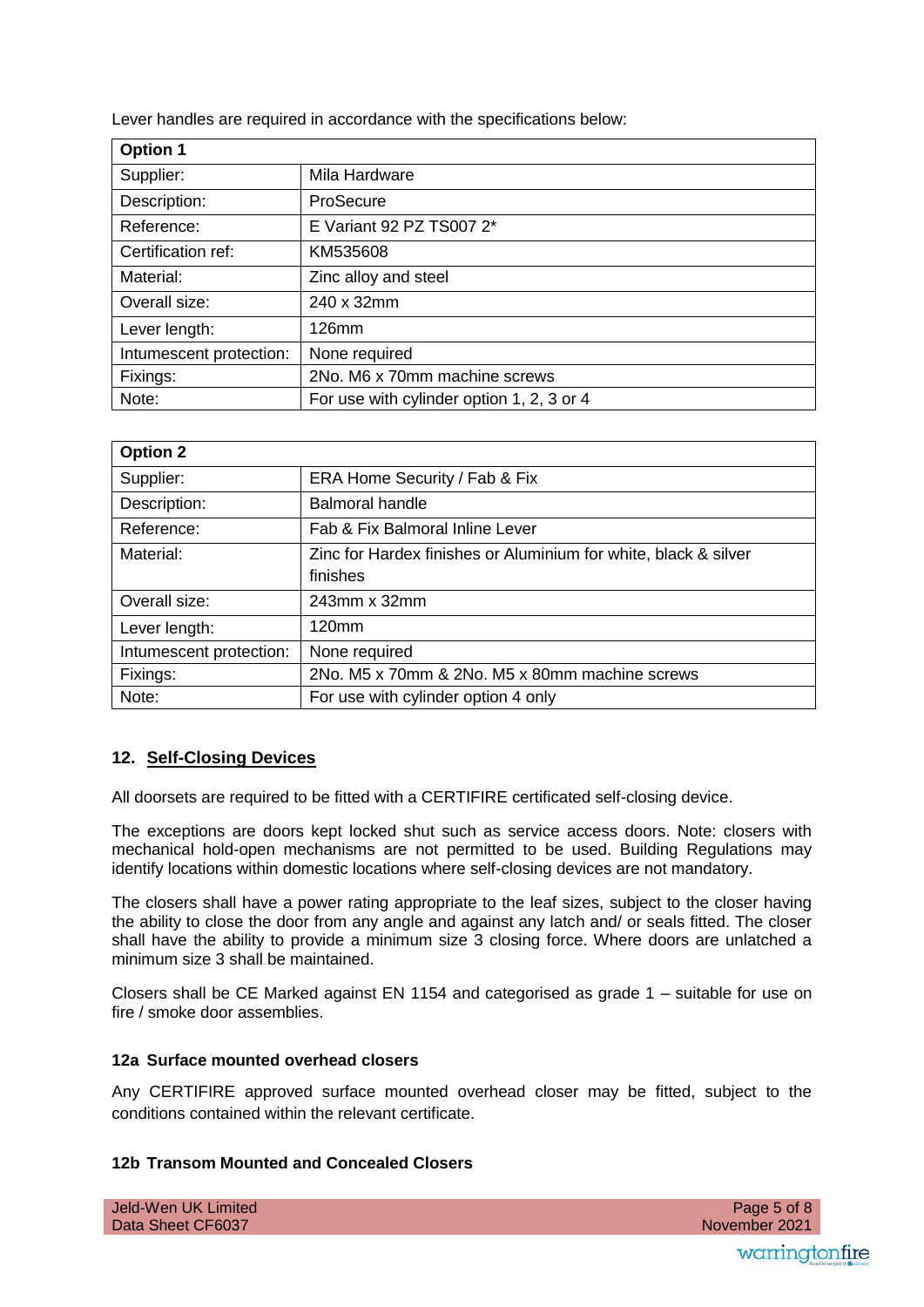Lever handles are required in accordance with the specifications below:

| <b>Option 1</b>         |                                           |
|-------------------------|-------------------------------------------|
| Supplier:               | Mila Hardware                             |
| Description:            | ProSecure                                 |
| Reference:              | E Variant 92 PZ TS007 2*                  |
| Certification ref:      | KM535608                                  |
| Material:               | Zinc alloy and steel                      |
| Overall size:           | 240 x 32mm                                |
| Lever length:           | $126$ mm                                  |
| Intumescent protection: | None required                             |
| Fixings:                | 2No. M6 x 70mm machine screws             |
| Note:                   | For use with cylinder option 1, 2, 3 or 4 |

| <b>Option 2</b>         |                                                                             |
|-------------------------|-----------------------------------------------------------------------------|
| Supplier:               | ERA Home Security / Fab & Fix                                               |
| Description:            | <b>Balmoral handle</b>                                                      |
| Reference:              | Fab & Fix Balmoral Inline Lever                                             |
| Material:               | Zinc for Hardex finishes or Aluminium for white, black & silver<br>finishes |
| Overall size:           | 243mm x 32mm                                                                |
| Lever length:           | 120 <sub>mm</sub>                                                           |
| Intumescent protection: | None required                                                               |
| Fixings:                | 2No. M5 x 70mm & 2No. M5 x 80mm machine screws                              |
| Note:                   | For use with cylinder option 4 only                                         |

# **12. Self-Closing Devices**

All doorsets are required to be fitted with a CERTIFIRE certificated self-closing device.

The exceptions are doors kept locked shut such as service access doors. Note: closers with mechanical hold-open mechanisms are not permitted to be used. Building Regulations may identify locations within domestic locations where self-closing devices are not mandatory.

The closers shall have a power rating appropriate to the leaf sizes, subject to the closer having the ability to close the door from any angle and against any latch and/ or seals fitted. The closer shall have the ability to provide a minimum size 3 closing force. Where doors are unlatched a minimum size 3 shall be maintained.

Closers shall be CE Marked against EN 1154 and categorised as grade 1 – suitable for use on fire / smoke door assemblies.

# **12a Surface mounted overhead closers**

Any CERTIFIRE approved surface mounted overhead closer may be fitted, subject to the conditions contained within the relevant certificate.

# **12b Transom Mounted and Concealed Closers**

| Jeld-Wen UK Limited |  |  |
|---------------------|--|--|
| Data Sheet CF6037   |  |  |

 November 2021 Page 5 of 8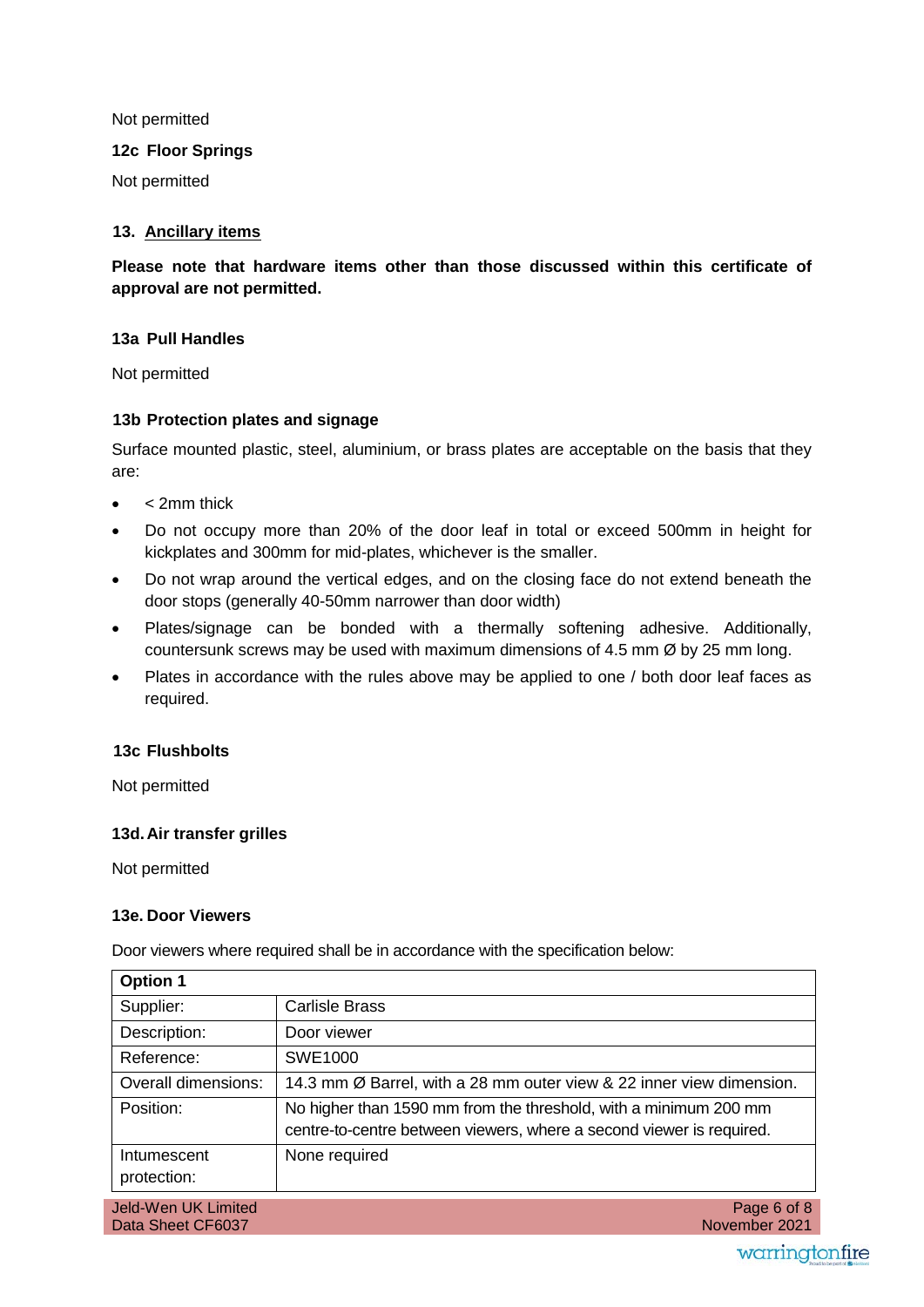Not permitted

**12c Floor Springs** 

Not permitted

# **13. Ancillary items**

**Please note that hardware items other than those discussed within this certificate of approval are not permitted.** 

# **13a Pull Handles**

Not permitted

# **13b Protection plates and signage**

Surface mounted plastic, steel, aluminium, or brass plates are acceptable on the basis that they are:

- < 2mm thick
- Do not occupy more than 20% of the door leaf in total or exceed 500mm in height for kickplates and 300mm for mid-plates, whichever is the smaller.
- Do not wrap around the vertical edges, and on the closing face do not extend beneath the door stops (generally 40-50mm narrower than door width)
- Plates/signage can be bonded with a thermally softening adhesive. Additionally, countersunk screws may be used with maximum dimensions of 4.5 mm Ø by 25 mm long.
- Plates in accordance with the rules above may be applied to one / both door leaf faces as required.

# **13c Flushbolts**

Not permitted

# **13d. Air transfer grilles**

Not permitted

# **13e. Door Viewers**

Door viewers where required shall be in accordance with the specification below:

| <b>Option 1</b>                          |                                                                                                                                          |
|------------------------------------------|------------------------------------------------------------------------------------------------------------------------------------------|
| Supplier:                                | <b>Carlisle Brass</b>                                                                                                                    |
| Description:                             | Door viewer                                                                                                                              |
| Reference:                               | SWE1000                                                                                                                                  |
| Overall dimensions:                      | 14.3 mm Ø Barrel, with a 28 mm outer view & 22 inner view dimension.                                                                     |
| Position:                                | No higher than 1590 mm from the threshold, with a minimum 200 mm<br>centre-to-centre between viewers, where a second viewer is required. |
| Intumescent<br>protection:               | None required                                                                                                                            |
| Jeld-Wen UK Limited<br>Data Sheet CF6037 | Page 6 of 8<br>November 2021                                                                                                             |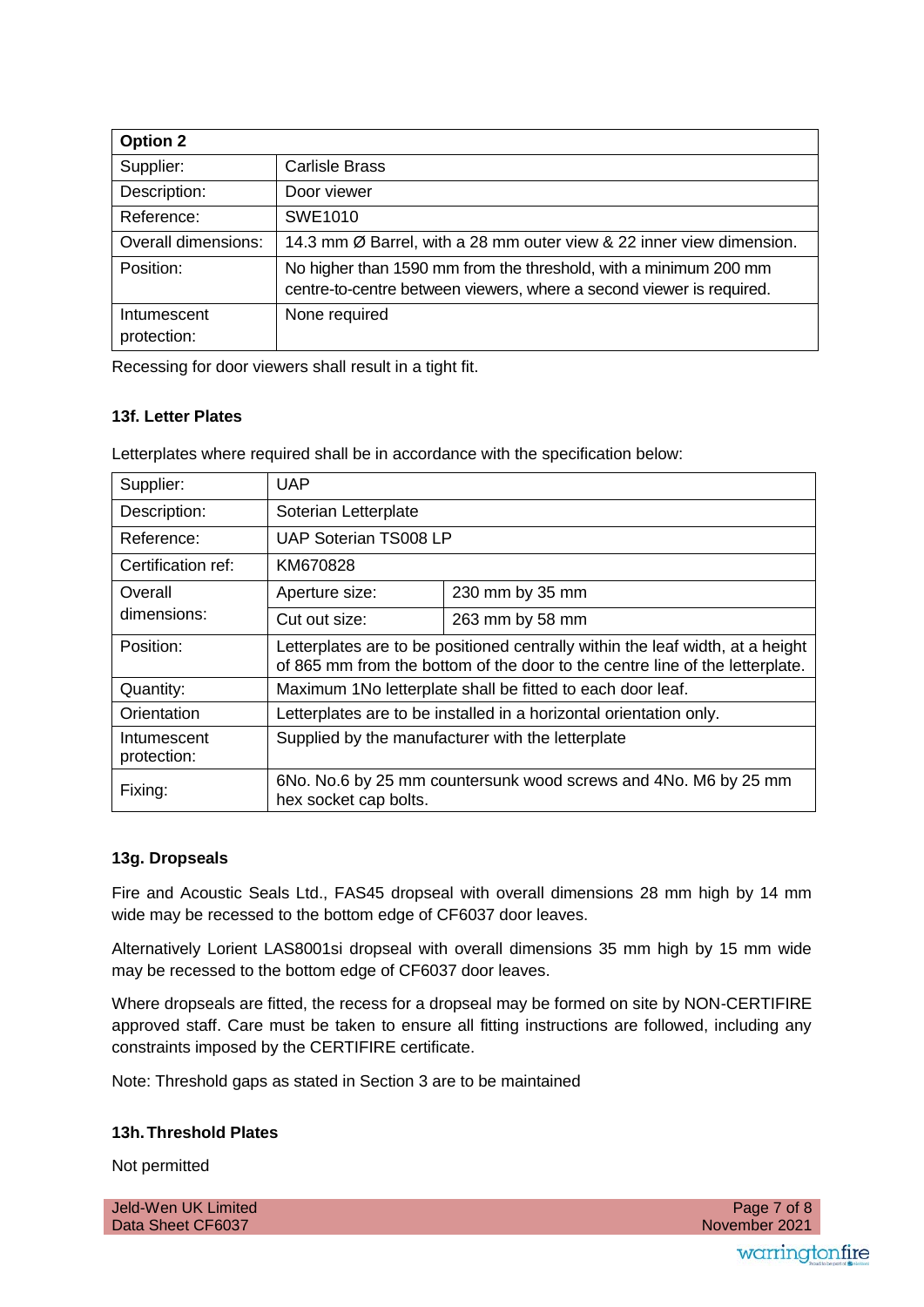| <b>Option 2</b>            |                                                                                                                                          |
|----------------------------|------------------------------------------------------------------------------------------------------------------------------------------|
| Supplier:                  | <b>Carlisle Brass</b>                                                                                                                    |
| Description:               | Door viewer                                                                                                                              |
| Reference:                 | SWE1010                                                                                                                                  |
| Overall dimensions:        | 14.3 mm Ø Barrel, with a 28 mm outer view & 22 inner view dimension.                                                                     |
| Position:                  | No higher than 1590 mm from the threshold, with a minimum 200 mm<br>centre-to-centre between viewers, where a second viewer is required. |
| Intumescent<br>protection: | None required                                                                                                                            |

Recessing for door viewers shall result in a tight fit.

# **13f. Letter Plates**

Letterplates where required shall be in accordance with the specification below:

| Supplier:                  | <b>UAP</b>                                                                                                                                                     |                 |  |
|----------------------------|----------------------------------------------------------------------------------------------------------------------------------------------------------------|-----------------|--|
| Description:               | Soterian Letterplate                                                                                                                                           |                 |  |
| Reference:                 | <b>UAP Soterian TS008 LP</b>                                                                                                                                   |                 |  |
| Certification ref:         | KM670828                                                                                                                                                       |                 |  |
| Overall                    | Aperture size:                                                                                                                                                 | 230 mm by 35 mm |  |
| dimensions:                | Cut out size:                                                                                                                                                  | 263 mm by 58 mm |  |
| Position:                  | Letterplates are to be positioned centrally within the leaf width, at a height<br>of 865 mm from the bottom of the door to the centre line of the letterplate. |                 |  |
| Quantity:                  | Maximum 1No letterplate shall be fitted to each door leaf.                                                                                                     |                 |  |
| Orientation                | Letterplates are to be installed in a horizontal orientation only.                                                                                             |                 |  |
| Intumescent<br>protection: | Supplied by the manufacturer with the letterplate                                                                                                              |                 |  |
| Fixing:                    | 6No. No.6 by 25 mm countersunk wood screws and 4No. M6 by 25 mm<br>hex socket cap bolts.                                                                       |                 |  |

# **13g. Dropseals**

Fire and Acoustic Seals Ltd., FAS45 dropseal with overall dimensions 28 mm high by 14 mm wide may be recessed to the bottom edge of CF6037 door leaves.

Alternatively Lorient LAS8001si dropseal with overall dimensions 35 mm high by 15 mm wide may be recessed to the bottom edge of CF6037 door leaves.

Where dropseals are fitted, the recess for a dropseal may be formed on site by NON-CERTIFIRE approved staff. Care must be taken to ensure all fitting instructions are followed, including any constraints imposed by the CERTIFIRE certificate.

Note: Threshold gaps as stated in Section 3 are to be maintained

# **13h. Threshold Plates**

Not permitted

Jeld-Wen UK Limited Data Sheet CF6037